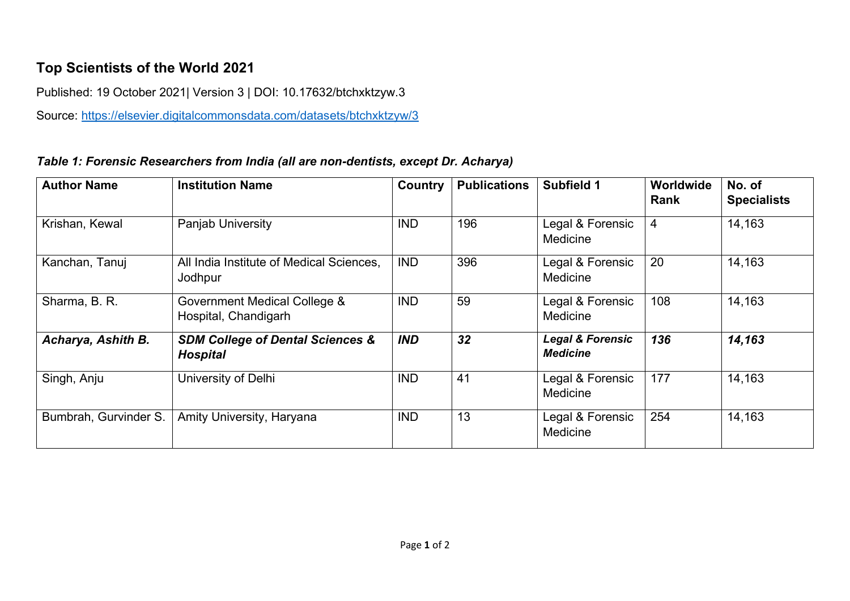## **Top Scientists of the World 2021**

Published: 19 October 2021| Version 3 | DOI: 10.17632/btchxktzyw.3

Source:<https://elsevier.digitalcommonsdata.com/datasets/btchxktzyw/3>

## *Table 1: Forensic Researchers from India (all are non-dentists, except Dr. Acharya)*

| <b>Author Name</b>    | <b>Institution Name</b>                                        | Country    | <b>Publications</b> | Subfield 1                                     | Worldwide<br><b>Rank</b> | No. of<br><b>Specialists</b> |
|-----------------------|----------------------------------------------------------------|------------|---------------------|------------------------------------------------|--------------------------|------------------------------|
| Krishan, Kewal        | Panjab University                                              | <b>IND</b> | 196                 | Legal & Forensic<br>Medicine                   | $\overline{4}$           | 14,163                       |
| Kanchan, Tanuj        | All India Institute of Medical Sciences,<br>Jodhpur            | <b>IND</b> | 396                 | Legal & Forensic<br>Medicine                   | 20                       | 14,163                       |
| Sharma, B. R.         | Government Medical College &<br>Hospital, Chandigarh           | <b>IND</b> | 59                  | Legal & Forensic<br>Medicine                   | 108                      | 14,163                       |
| Acharya, Ashith B.    | <b>SDM College of Dental Sciences &amp;</b><br><b>Hospital</b> | <b>IND</b> | 32                  | <b>Legal &amp; Forensic</b><br><b>Medicine</b> | 136                      | 14,163                       |
| Singh, Anju           | University of Delhi                                            | <b>IND</b> | 41                  | Legal & Forensic<br>Medicine                   | 177                      | 14,163                       |
| Bumbrah, Gurvinder S. | Amity University, Haryana                                      | <b>IND</b> | 13                  | Legal & Forensic<br>Medicine                   | 254                      | 14,163                       |